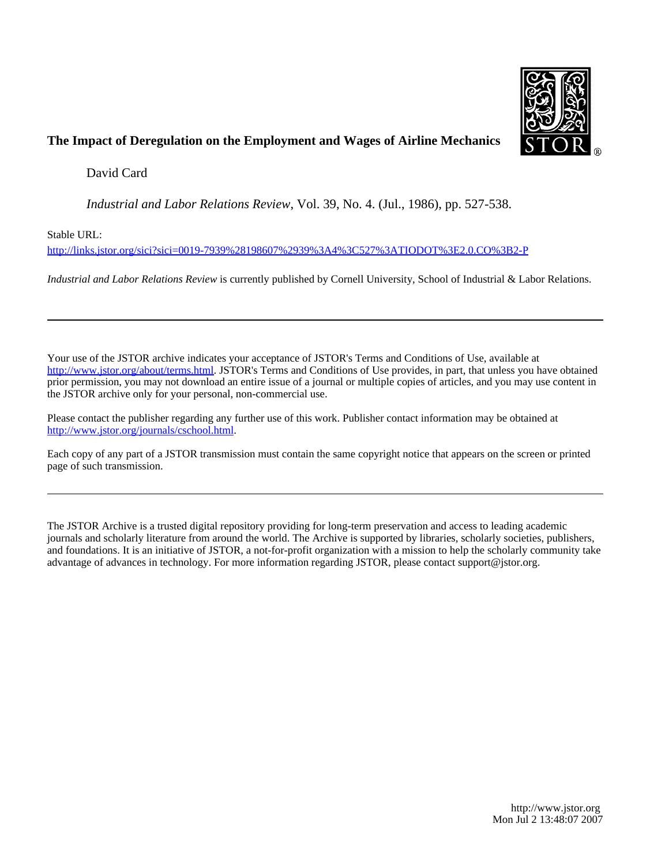

## **The Impact of Deregulation on the Employment and Wages of Airline Mechanics**

David Card

*Industrial and Labor Relations Review*, Vol. 39, No. 4. (Jul., 1986), pp. 527-538.

Stable URL:

<http://links.jstor.org/sici?sici=0019-7939%28198607%2939%3A4%3C527%3ATIODOT%3E2.0.CO%3B2-P>

*Industrial and Labor Relations Review* is currently published by Cornell University, School of Industrial & Labor Relations.

Your use of the JSTOR archive indicates your acceptance of JSTOR's Terms and Conditions of Use, available at [http://www.jstor.org/about/terms.html.](http://www.jstor.org/about/terms.html) JSTOR's Terms and Conditions of Use provides, in part, that unless you have obtained prior permission, you may not download an entire issue of a journal or multiple copies of articles, and you may use content in the JSTOR archive only for your personal, non-commercial use.

Please contact the publisher regarding any further use of this work. Publisher contact information may be obtained at <http://www.jstor.org/journals/cschool.html>.

Each copy of any part of a JSTOR transmission must contain the same copyright notice that appears on the screen or printed page of such transmission.

The JSTOR Archive is a trusted digital repository providing for long-term preservation and access to leading academic journals and scholarly literature from around the world. The Archive is supported by libraries, scholarly societies, publishers, and foundations. It is an initiative of JSTOR, a not-for-profit organization with a mission to help the scholarly community take advantage of advances in technology. For more information regarding JSTOR, please contact support@jstor.org.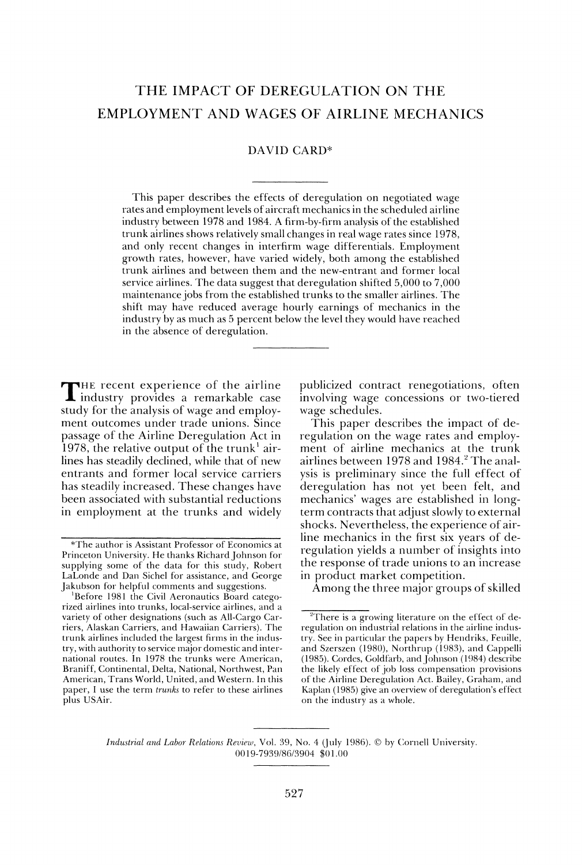# THE IMPACT OF DEREGULATION ON THE EMPLOYMENT AND WAGES OF AIRLINE MECHANICS

#### DAVID CARD"

This paper describes the effects of deregulation on negotiated wage rates and employment levels of aircraft mechanics in the scheduled airline industry between 1978 and 1984. A firm-by-firm analysis of the established trunk airlines shows relatively small changes in real wage rates since 1978, and only recent changes in interfirm wage differentials. Employment growth rates, however, have varied widely, both among the establishecl trunk airlines and between them and the new-entrant and former local service airlines. The data suggest that deregulation shifted 5,000 to 7,000 maintenance jobs from the established trunks to the smaller airlines. 'The shift may have reduced average hourly earnings of mechanics in the industry by as much as 5 percent below the level they would have reached in the absence of deregulation.

THE recent experience of the airline publicized contract renegotiations, often industry provides a remarkable case involving wage concessions or two-tiered study for the analysis of wage and employ- wage schedules. study for the analysis of wage and employment outcomes under trade unions. Since This paper describes the impact of de-<br>passage of the Airline Deregulation Act in regulation on the wage rates and employpassage of the Airline Deregulation Act in regulation on the wage rates and employ-<br>1978, the relative output of the trunk<sup>1</sup> air- ment of airline mechanics at the trunk 1978, the relative output of the trunk<sup>1</sup> air-<br>lines has steadily declined, while that of new airlines between 1978 and 1984.<sup>2</sup> The analentrants and former local service carriers ysis is preliminary since the full effect of has steadily increased. These changes have deregulation has not yet been felt, and been associated with substantial reductions mechanics' wages are established in longin employment at the trunks and widely term contracts that adjust slowly to external

involving wage concessions or two-tiered

airlines between 1978 and 1984.<sup>2</sup> The analshocks. Nevertheless, the experience of airline mechanics in the first six years of de-\*The author is Assistant Professor of Economics at regulation yields a number of insights into the response of trade unions to an increase<br>in product market competition.

Among the three major groups of skilled

*Industrial and Labor-Relations Review, Vol. 39, No. 4 (July 1986).* © by Cornell University. 00 19-799918615904 *\$0* 1.OO

Princeton University. He thanks Richard Johnson for supplying some of the data for this study, Robert LaLonde and Dan Sichel for assistance, and George<br>Jakubson for helpful comments and suggestions.

<sup>&</sup>lt;sup>1</sup>Before 1981 the Civil Aeronautics Board categorized airlines into trunks, local-service airlines, and a variety of other designations (such as All-Cargo Carriers, Alaskan Carriers, and Hawaiian Carriers). The regulation on industrial relations in the airline indus-<br>trunk airlines included the largest firms in the indus- try. See in particular the papers by Hendriks, Feuille, try, with authority to service major domestic and inter- and Szerszen (1980), Northrup (1983), and Cappelli<br>national routes. In 1978 the trunks were American, (1985). Cordes, Goldfarb, and Johnson (1984) describe national routes. In 1978 the trunks were American, (1985). Cordes, Goldfarb, and Johnson (1984) describe<br>Braniff, Continental, Delta, National, Northwest, Pan the likely effect of job loss compensation provisions American, Trans World, United, and Western. In this of the Airline Deregulation Act. Bailey, Graham, and paper, I use the term *trunks* to refer to these airlines Kaplan (1985) give an overview of deregulation's effect plus USAir. **but a straight a straight a straight a** control on the industry as a whole.

 $\overline{P}$ <sup>2</sup>There is a growing literature on the effect of detry. See in particular the papers by Hendriks, Feuille, the likely effect of job loss compensation provisions Kaplan (1985) give an overview of deregulation's effect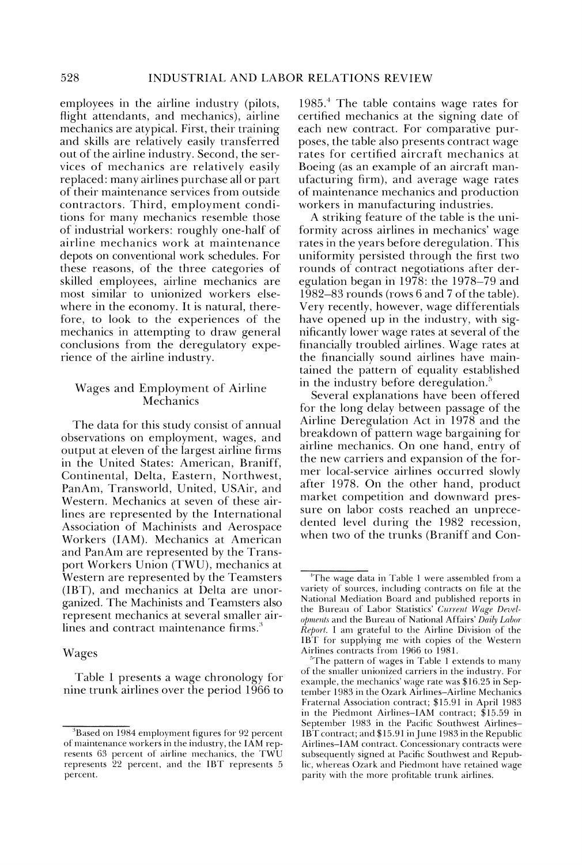employees in the airline industry (pilots, flight attendants, and mechanics), airline mechanics are atypical. First, their training and skills are relatively easily transferred out of the airline industry. Second, the services of mechanics are relatively easily replaced: many airlines purchase all or part of their maintenance services from outside contractors. Third, employment conditions for many mechanics resenlble those of industrial workers: roughly one-half of airline mechanics work at maintenance depots on conventional work schedules. For these reasons, of the three categories of skilled employees, airline mechanics are most similar to unionized workers elsewhere in the economy. It is natural, therefore, to look to the experiences of the mechanics in attempting to draw general conclusions from the deregulatory experience of the airline industry.

## Wages and Employment of Airline **Mechanics**

The data for this study consist of annual observations on employment, wages, and output at eleven of the largest airline firms in the United States: American, Braniff, Continental, Delta, Eastern, Northwest, PanAm, Transworld, United, USAir, and Western. Mechanics at seven of these airlines are represented by the International Association of Machinists and Aerospace Workers (IAM). Mechanics at American and PanAm are represented by the Transport Workers Union (TWU), mechanics at Western are represented by the Teamsters  $(IBT)$ , and mechanics at Delta are unorganized. The Machinists and Teamsters also represent mechanics at several smaller airlines and contract maintenance firms. $3$ 

### Wages

Table 1 presents a wage chronology for nine trunk airlines over the period 1966 to

1985.' The table contains wage rates for certified mechanics at the signing date of each new contract. For comparative purposes, the table also presents contract wage rates for certified aircraft mechanics at Boeing (as an example of an aircraft manufacturing firm), and average wage rates of maintenance mechanics and production workers in manufacturing industries.

A striking feature of the table is the uniformity across airlines in mechanics' wage rates in the years before deregulation. This uniformity persisted through the first two rounds of contract negotiations after deregulation began in 1978: the 1978-79 and  $1982-83$  rounds (rows 6 and 7 of the table). Very recently, however, wage differentials have opened up in the industry, with significantly lower wage rates at several of the financially troubled airlines. Wage rates at the financially sound airlines have maintained the pattern of equality established in the industry before deregulation.'

Several explanations have been offered for the long delay between passage of the Airline Deregulation Act in 1978 and the breakdown of pattern wage bargaining for airline mechanics. On one hand, entry of the new carriers and expansion of the former local-service airlines occurred slowly after 1978. On the other hand, product market competition and downward pressure on labor costs reached an unprecedented level during the 1982 recession, when two of the trunks (Braniff and Con-

 $3$ Based on 1984 employment figures for 92 percent of maintenance workers in the industry, the IAM represents 63 percent of airline mechanics, the TWU represents 22 percent, and the IBT represents 5 percent.

<sup>&</sup>lt;sup>4</sup>The wage data in Table 1 were assembled from a variety of sources, including contracts on file at the National Mediation Board and published reports in the Bureau of Labor Statistics' Current Wage Developments and the Bureau of National Affairs' Daily Labor  $\hat{Re}$ *port*. I am grateful to the Airline Division of the IBT for supplying me with copies of the Western Airlines contracts from 1966 to 1981.

 $^5$ The pattern of wages in Table 1 extends to many of the smaller unionized carriers in the industry. For example, the mechanics' wage rate was \$16.25 in September 1983 in the Ozark Airlines-Airline Mechanics Fraternal Association contract; \$15.91 in April 1983 in the Piedmont Airlines-IAM contract;  $$15.59$  in September 1983 in the Pacific Southwest Airlines-IBT contract; and \$15.91 in June 1983 in the Republic Airlines-IAhl contract. Concessionary contracts were subsequently signed at Pacific Southwest and Republic, whereas Ozark and Piedmont have retained wage parity with the more profitable trunk airlines.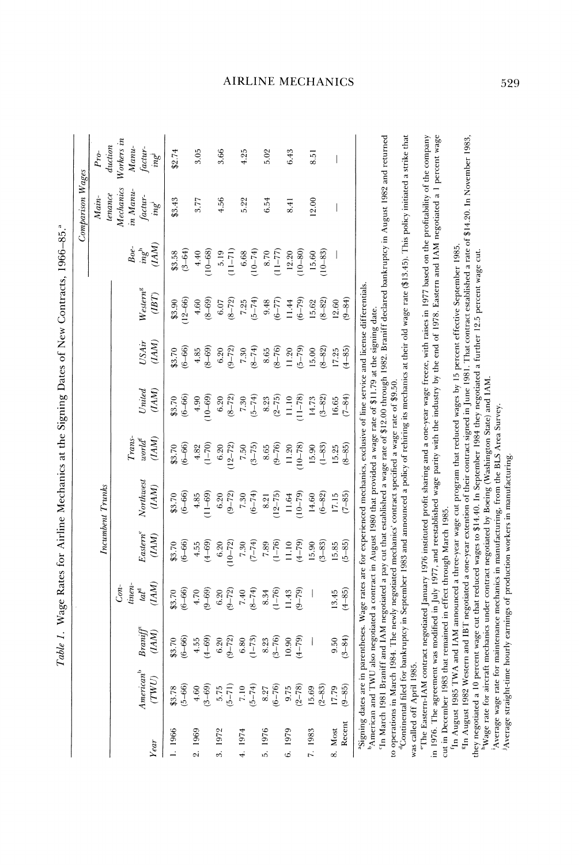| $\frac{1}{2}$                                                |
|--------------------------------------------------------------|
| $\sim$ $\sim$ $\sim$ $\sim$<br>l<br>l                        |
|                                                              |
|                                                              |
| l<br>ļ<br>l                                                  |
| $\vdots$                                                     |
| i                                                            |
| $\vdots$                                                     |
|                                                              |
|                                                              |
| ֧֖֖֖֖֖֧ׅ֧ׅ֧֧֧֧֧֧֧֧֧֧֧֧֧֚֚֚֚֚֚֚֚֚֚֚֚֚֚֚֚֚֬֝֬֜֓֡֜֓֜֩֓֓֜֓֜֓֜֓֜֜ |
| I                                                            |
| j                                                            |
| ׅ֘֒<br>֦֦֧֦֧֦֚֚֚֚֚֡֝֝<br>֧֚֝<br>l                            |
|                                                              |

| Workers in<br>duction<br>$M$ anu-<br>$\ensuremath{\mathit{factor}}\xspace^{-}$ in<br>g<br>3.05<br>3.66<br>4.25<br>5.02<br>6.43<br>\$2.74<br>$Pro-$<br>8.51<br>I<br>Mechanics<br>in Manu-<br>$t$ enance<br>factur-<br>ing<br>$Main-$<br>\$3,43<br>4.56<br>3.77<br>5.22<br>6.54<br>12.00<br>8.41<br>I<br>$\frac{Boe}{mg}$<br>$(3 - 64)$<br>$4.40$<br>(10-68)<br>$6.68$<br>10-74)<br>$8.70$<br>(11-77)<br>$12.20$<br>$10-80$<br>$10 - 83$<br>$(11-71)$<br>\$3.58<br>15.60<br>$\overline{\phantom{a}}$<br><sup>3</sup> Signing dates are in parentheses. Wage rates are for experienced mechanics, exclusive of line service and license differentials.<br>$Western^{\rm g}$<br>$\left(BT\right)$<br>$7.25(5-74)9.48(6-77)11.44(15.62)15.62(8-82)$<br>$12 - 66$<br>$(6 - 6)$<br>(8-69)<br>$6.07$ $(8-72)$<br>$(9 - 84)$<br>\$3.90<br>12.60<br>USAir<br>(IM)<br>$\begin{array}{c} 8.65 \\ (8-76) \\ 11.20 \\ (5-79) \\ 15.00 \\ (8-82) \end{array}$<br>$(6 - 66)$<br>$(8 - 69)$<br>$7.30$<br>(8-74)<br>$6.20$<br>(9-72)<br>$(4 - 85)$<br>4.85<br>\$3.70<br>17.25<br>United<br>$(\mathit{IAM})$<br>$10 - 69$<br>$\begin{array}{c} 7.30 \\ (5-74) \\ 8.23 \\ (2-75) \\ 11.10 \\ 11-78 \end{array}$<br>$$3.70$<br>$(6-66)$<br>$6.20$<br>$(8-72)$<br>$(3 - 82)$<br>$16.65$<br>(7-84)<br>4.90<br>$14.73$<br>$\frac{word^t}{(IAM)}$<br><b>Trans</b><br>$\begin{array}{c} 8.65 \\ (9-76) \\ 11.20 \\ 10-78 \end{array}$<br>$$3.70$<br>$(6-66)$<br>$4.82$<br>(1-70)<br>$12 - 72$<br>$7.50$<br>(3-75)<br>$(1 - 83)$<br>$(8 - 85)$<br>$6.20\,$<br>15.90<br>15.25<br>Northwes<br>Incumbent Trunks<br>$(IM) % \begin{minipage}[b]{.4\linewidth} \centering \centerline{\includegraphics[width=0.45\linewidth]{A-MD-10000.pdf} \centerline{\includegraphics[width=0.45\linewidth]{A-MD-10000.pdf} \centerline{\includegraphics[width=0.45\linewidth]{A-MD-10000.pdf} \centerline{\includegraphics[width=0.45\linewidth]{A-MD-10000.pdf} \centerline{\includegraphics[width=0.45\linewidth]{A-MD-10000.pdf} \centerline{\includegraphics[width=0.45\linewidth]{A-MD-10000.pdf} \centerline{\includegraphics[width=0.45\linewidth]{A-MD-10000.pdf} \centerline{\includegraphics[width=0$<br>$$3.70$<br>(6-66)<br>$11 - 69$<br>6.20<br>$(9-72)$<br>$7.30$<br>$(6-74)$<br>$8.21$<br>$8.21$<br>$11.64$<br>$(10-79)$<br>$(6 - 82)$<br>$(7 - 85)$<br>$14.60$<br>17.15<br>$4.85$<br>Eastern <sup>e</sup><br>(IM)<br>$^{7.30}_{-74)}$<br>$7.89$<br>$(1-76)$<br>$11.10$<br>$(4-79)$<br>$15.90$<br>$(3-83)$<br>$(5 - 85)$<br>$(6 - 66)$<br>$(4 - 69)$<br>$6.20$<br>10-72)<br>4.55<br>15.85<br>\$3.70<br>$\begin{array}{l} Com\\ time\\ tail\\ \end{array}$<br>$(4 - 85)$<br>$(6 - 66)$<br>$(9-69)$<br>$6.20$<br>$(9-72)$<br>$7.40$<br>$7.41$<br>$(8-74)$<br>$(1-76)$<br>11 43<br>9-79)<br>13.45<br>\$3.70<br>$4.70\,$<br>8.34<br>$\overline{\phantom{a}}$<br>$Braniff$<br>(IAM)<br>-84)<br>$4.55$<br>(4-69)<br>$.20$<br>$-72$<br>$\frac{8.23}{(3-76)}$<br>$-66$<br>$6.80$<br>(1-73)<br>$-79$<br>90<br>$\overline{\phantom{a}}$<br>$\sqrt{2}$<br>50<br>အံ့ ၆<br>Ö<br>କ<br>$\overline{a}$<br>$\frac{1}{4}$<br>ತೆ<br>American <sup>b</sup><br>(TWU)<br>$(5 - 66)$<br>$(5 - 74)$<br>$(6 - 76)$<br>$(2 - 78)$<br>$(2 - 83)$<br>$(3 - 69)$<br>$(9 - 85)$<br>5.75<br>9.75<br>\$3.78<br>$(5 - 71)$<br>8.27<br>15.69<br>17.79<br>4.60<br>7.10<br>Recent<br>2.1969<br>1.1966<br>3.1972<br>5.1976<br>6.1979<br>7.1983<br>8. Most<br>4.1974<br>Year |  |  |  |  |  | Jomparison Wages |  |
|------------------------------------------------------------------------------------------------------------------------------------------------------------------------------------------------------------------------------------------------------------------------------------------------------------------------------------------------------------------------------------------------------------------------------------------------------------------------------------------------------------------------------------------------------------------------------------------------------------------------------------------------------------------------------------------------------------------------------------------------------------------------------------------------------------------------------------------------------------------------------------------------------------------------------------------------------------------------------------------------------------------------------------------------------------------------------------------------------------------------------------------------------------------------------------------------------------------------------------------------------------------------------------------------------------------------------------------------------------------------------------------------------------------------------------------------------------------------------------------------------------------------------------------------------------------------------------------------------------------------------------------------------------------------------------------------------------------------------------------------------------------------------------------------------------------------------------------------------------------------------------------------------------------------------------------------------------------------------------------------------------------------------------------------------------------------------------------------------------------------------------------------------------------------------------------------------------------------------------------------------------------------------------------------------------------------------------------------------------------------------------------------------------------------------------------------------------------------------------------------------------------------------------------------------------------------------------------------------------------------------------------------------------------------------------------------------------------------------------------------------------------------------------------------------------------------------------------------------------------------------------------------------------------------------------------------------------------------------------------------------------------------------------------------------------------------------------------------------------------------------------------------------------------------------------------------------------------------------------------------------------------------------------------------------------------------------------------------------------------------------------------------------------|--|--|--|--|--|------------------|--|
|                                                                                                                                                                                                                                                                                                                                                                                                                                                                                                                                                                                                                                                                                                                                                                                                                                                                                                                                                                                                                                                                                                                                                                                                                                                                                                                                                                                                                                                                                                                                                                                                                                                                                                                                                                                                                                                                                                                                                                                                                                                                                                                                                                                                                                                                                                                                                                                                                                                                                                                                                                                                                                                                                                                                                                                                                                                                                                                                                                                                                                                                                                                                                                                                                                                                                                                                                                                                            |  |  |  |  |  |                  |  |
|                                                                                                                                                                                                                                                                                                                                                                                                                                                                                                                                                                                                                                                                                                                                                                                                                                                                                                                                                                                                                                                                                                                                                                                                                                                                                                                                                                                                                                                                                                                                                                                                                                                                                                                                                                                                                                                                                                                                                                                                                                                                                                                                                                                                                                                                                                                                                                                                                                                                                                                                                                                                                                                                                                                                                                                                                                                                                                                                                                                                                                                                                                                                                                                                                                                                                                                                                                                                            |  |  |  |  |  |                  |  |
|                                                                                                                                                                                                                                                                                                                                                                                                                                                                                                                                                                                                                                                                                                                                                                                                                                                                                                                                                                                                                                                                                                                                                                                                                                                                                                                                                                                                                                                                                                                                                                                                                                                                                                                                                                                                                                                                                                                                                                                                                                                                                                                                                                                                                                                                                                                                                                                                                                                                                                                                                                                                                                                                                                                                                                                                                                                                                                                                                                                                                                                                                                                                                                                                                                                                                                                                                                                                            |  |  |  |  |  |                  |  |
|                                                                                                                                                                                                                                                                                                                                                                                                                                                                                                                                                                                                                                                                                                                                                                                                                                                                                                                                                                                                                                                                                                                                                                                                                                                                                                                                                                                                                                                                                                                                                                                                                                                                                                                                                                                                                                                                                                                                                                                                                                                                                                                                                                                                                                                                                                                                                                                                                                                                                                                                                                                                                                                                                                                                                                                                                                                                                                                                                                                                                                                                                                                                                                                                                                                                                                                                                                                                            |  |  |  |  |  |                  |  |
|                                                                                                                                                                                                                                                                                                                                                                                                                                                                                                                                                                                                                                                                                                                                                                                                                                                                                                                                                                                                                                                                                                                                                                                                                                                                                                                                                                                                                                                                                                                                                                                                                                                                                                                                                                                                                                                                                                                                                                                                                                                                                                                                                                                                                                                                                                                                                                                                                                                                                                                                                                                                                                                                                                                                                                                                                                                                                                                                                                                                                                                                                                                                                                                                                                                                                                                                                                                                            |  |  |  |  |  |                  |  |
|                                                                                                                                                                                                                                                                                                                                                                                                                                                                                                                                                                                                                                                                                                                                                                                                                                                                                                                                                                                                                                                                                                                                                                                                                                                                                                                                                                                                                                                                                                                                                                                                                                                                                                                                                                                                                                                                                                                                                                                                                                                                                                                                                                                                                                                                                                                                                                                                                                                                                                                                                                                                                                                                                                                                                                                                                                                                                                                                                                                                                                                                                                                                                                                                                                                                                                                                                                                                            |  |  |  |  |  |                  |  |
|                                                                                                                                                                                                                                                                                                                                                                                                                                                                                                                                                                                                                                                                                                                                                                                                                                                                                                                                                                                                                                                                                                                                                                                                                                                                                                                                                                                                                                                                                                                                                                                                                                                                                                                                                                                                                                                                                                                                                                                                                                                                                                                                                                                                                                                                                                                                                                                                                                                                                                                                                                                                                                                                                                                                                                                                                                                                                                                                                                                                                                                                                                                                                                                                                                                                                                                                                                                                            |  |  |  |  |  |                  |  |
|                                                                                                                                                                                                                                                                                                                                                                                                                                                                                                                                                                                                                                                                                                                                                                                                                                                                                                                                                                                                                                                                                                                                                                                                                                                                                                                                                                                                                                                                                                                                                                                                                                                                                                                                                                                                                                                                                                                                                                                                                                                                                                                                                                                                                                                                                                                                                                                                                                                                                                                                                                                                                                                                                                                                                                                                                                                                                                                                                                                                                                                                                                                                                                                                                                                                                                                                                                                                            |  |  |  |  |  |                  |  |
|                                                                                                                                                                                                                                                                                                                                                                                                                                                                                                                                                                                                                                                                                                                                                                                                                                                                                                                                                                                                                                                                                                                                                                                                                                                                                                                                                                                                                                                                                                                                                                                                                                                                                                                                                                                                                                                                                                                                                                                                                                                                                                                                                                                                                                                                                                                                                                                                                                                                                                                                                                                                                                                                                                                                                                                                                                                                                                                                                                                                                                                                                                                                                                                                                                                                                                                                                                                                            |  |  |  |  |  |                  |  |
|                                                                                                                                                                                                                                                                                                                                                                                                                                                                                                                                                                                                                                                                                                                                                                                                                                                                                                                                                                                                                                                                                                                                                                                                                                                                                                                                                                                                                                                                                                                                                                                                                                                                                                                                                                                                                                                                                                                                                                                                                                                                                                                                                                                                                                                                                                                                                                                                                                                                                                                                                                                                                                                                                                                                                                                                                                                                                                                                                                                                                                                                                                                                                                                                                                                                                                                                                                                                            |  |  |  |  |  |                  |  |
|                                                                                                                                                                                                                                                                                                                                                                                                                                                                                                                                                                                                                                                                                                                                                                                                                                                                                                                                                                                                                                                                                                                                                                                                                                                                                                                                                                                                                                                                                                                                                                                                                                                                                                                                                                                                                                                                                                                                                                                                                                                                                                                                                                                                                                                                                                                                                                                                                                                                                                                                                                                                                                                                                                                                                                                                                                                                                                                                                                                                                                                                                                                                                                                                                                                                                                                                                                                                            |  |  |  |  |  |                  |  |
|                                                                                                                                                                                                                                                                                                                                                                                                                                                                                                                                                                                                                                                                                                                                                                                                                                                                                                                                                                                                                                                                                                                                                                                                                                                                                                                                                                                                                                                                                                                                                                                                                                                                                                                                                                                                                                                                                                                                                                                                                                                                                                                                                                                                                                                                                                                                                                                                                                                                                                                                                                                                                                                                                                                                                                                                                                                                                                                                                                                                                                                                                                                                                                                                                                                                                                                                                                                                            |  |  |  |  |  |                  |  |
|                                                                                                                                                                                                                                                                                                                                                                                                                                                                                                                                                                                                                                                                                                                                                                                                                                                                                                                                                                                                                                                                                                                                                                                                                                                                                                                                                                                                                                                                                                                                                                                                                                                                                                                                                                                                                                                                                                                                                                                                                                                                                                                                                                                                                                                                                                                                                                                                                                                                                                                                                                                                                                                                                                                                                                                                                                                                                                                                                                                                                                                                                                                                                                                                                                                                                                                                                                                                            |  |  |  |  |  |                  |  |
|                                                                                                                                                                                                                                                                                                                                                                                                                                                                                                                                                                                                                                                                                                                                                                                                                                                                                                                                                                                                                                                                                                                                                                                                                                                                                                                                                                                                                                                                                                                                                                                                                                                                                                                                                                                                                                                                                                                                                                                                                                                                                                                                                                                                                                                                                                                                                                                                                                                                                                                                                                                                                                                                                                                                                                                                                                                                                                                                                                                                                                                                                                                                                                                                                                                                                                                                                                                                            |  |  |  |  |  |                  |  |
|                                                                                                                                                                                                                                                                                                                                                                                                                                                                                                                                                                                                                                                                                                                                                                                                                                                                                                                                                                                                                                                                                                                                                                                                                                                                                                                                                                                                                                                                                                                                                                                                                                                                                                                                                                                                                                                                                                                                                                                                                                                                                                                                                                                                                                                                                                                                                                                                                                                                                                                                                                                                                                                                                                                                                                                                                                                                                                                                                                                                                                                                                                                                                                                                                                                                                                                                                                                                            |  |  |  |  |  |                  |  |
|                                                                                                                                                                                                                                                                                                                                                                                                                                                                                                                                                                                                                                                                                                                                                                                                                                                                                                                                                                                                                                                                                                                                                                                                                                                                                                                                                                                                                                                                                                                                                                                                                                                                                                                                                                                                                                                                                                                                                                                                                                                                                                                                                                                                                                                                                                                                                                                                                                                                                                                                                                                                                                                                                                                                                                                                                                                                                                                                                                                                                                                                                                                                                                                                                                                                                                                                                                                                            |  |  |  |  |  |                  |  |
|                                                                                                                                                                                                                                                                                                                                                                                                                                                                                                                                                                                                                                                                                                                                                                                                                                                                                                                                                                                                                                                                                                                                                                                                                                                                                                                                                                                                                                                                                                                                                                                                                                                                                                                                                                                                                                                                                                                                                                                                                                                                                                                                                                                                                                                                                                                                                                                                                                                                                                                                                                                                                                                                                                                                                                                                                                                                                                                                                                                                                                                                                                                                                                                                                                                                                                                                                                                                            |  |  |  |  |  |                  |  |
|                                                                                                                                                                                                                                                                                                                                                                                                                                                                                                                                                                                                                                                                                                                                                                                                                                                                                                                                                                                                                                                                                                                                                                                                                                                                                                                                                                                                                                                                                                                                                                                                                                                                                                                                                                                                                                                                                                                                                                                                                                                                                                                                                                                                                                                                                                                                                                                                                                                                                                                                                                                                                                                                                                                                                                                                                                                                                                                                                                                                                                                                                                                                                                                                                                                                                                                                                                                                            |  |  |  |  |  |                  |  |
|                                                                                                                                                                                                                                                                                                                                                                                                                                                                                                                                                                                                                                                                                                                                                                                                                                                                                                                                                                                                                                                                                                                                                                                                                                                                                                                                                                                                                                                                                                                                                                                                                                                                                                                                                                                                                                                                                                                                                                                                                                                                                                                                                                                                                                                                                                                                                                                                                                                                                                                                                                                                                                                                                                                                                                                                                                                                                                                                                                                                                                                                                                                                                                                                                                                                                                                                                                                                            |  |  |  |  |  |                  |  |
|                                                                                                                                                                                                                                                                                                                                                                                                                                                                                                                                                                                                                                                                                                                                                                                                                                                                                                                                                                                                                                                                                                                                                                                                                                                                                                                                                                                                                                                                                                                                                                                                                                                                                                                                                                                                                                                                                                                                                                                                                                                                                                                                                                                                                                                                                                                                                                                                                                                                                                                                                                                                                                                                                                                                                                                                                                                                                                                                                                                                                                                                                                                                                                                                                                                                                                                                                                                                            |  |  |  |  |  |                  |  |
| $A$ merican and TWH also                                                                                                                                                                                                                                                                                                                                                                                                                                                                                                                                                                                                                                                                                                                                                                                                                                                                                                                                                                                                                                                                                                                                                                                                                                                                                                                                                                                                                                                                                                                                                                                                                                                                                                                                                                                                                                                                                                                                                                                                                                                                                                                                                                                                                                                                                                                                                                                                                                                                                                                                                                                                                                                                                                                                                                                                                                                                                                                                                                                                                                                                                                                                                                                                                                                                                                                                                                                   |  |  |  |  |  |                  |  |

"American and TWU also negotiated a contract in August 1980 that provided a wage rate of \$11.79 at the signing date.<br>Tn March 1981 Braniff and IAM negotiated a pay cut that established a wage rate of \$12.00 through 1982. B to operations in March 1984. The newly negotiated mechanics' contract specified a wage rate of \$9.50.

<sup>4</sup>Continental filed for bankruptcy in September 1983 and announced a policy of rehiring its mechanics at their old wage rate (\$13.45). This policy initiated a strike that was called off April 1985.

in 1976. The agreement was modified in July 1977, and reestablished wage parity with the industry by the end of 1978. Eastern and IAM negotiated a 1 percent wage The Eastern-IAM contract negotiated January 1976 instituted profit sharing and a one-year wage freeze, with raises in 1977 based on the profitability of the company cut in December 1983 that remained in effect through March 1985.

In August 1985 TWA and IAM announced a three-year wage cut program that reduced wages by 15 percent effective September 1985.

In August 1982 Western and IBT negotiated a one-year extention of their contract signed in June 1981. That contract established a rate of \$14.20. In November 1983, they negotiated a 10 percent wage out that reduced wages to \$14.40. In September 1984 they negotiated a further 12.5 percent wage cut.

"Wage rate for aircraft mechanics under contract negotiated by Boeing (Washington State) and IAM.

Average wage rate for maintenance mechanics in manufacturing, from the BLS Area Survey. Average straight-time hourly earnings of production workers in manufacturing.

529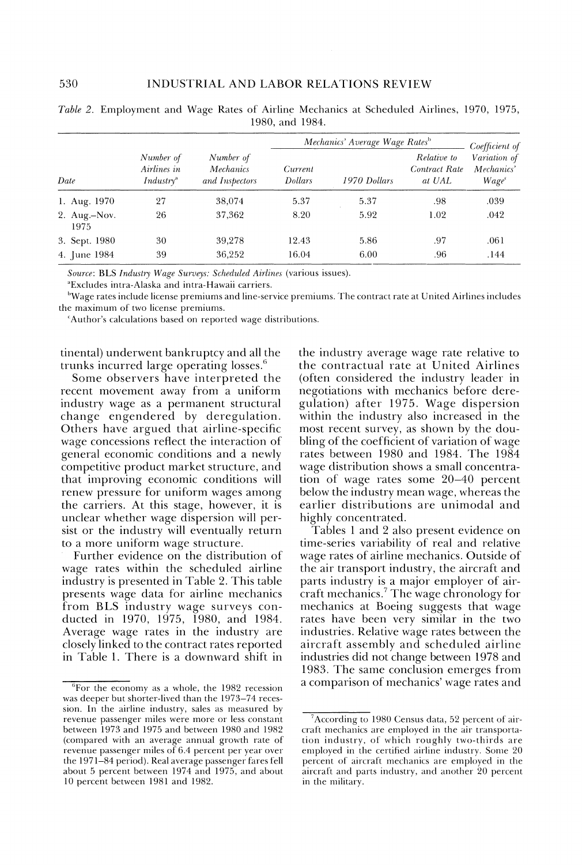|                      |                                                   |                                          |                           | Mechanics' Average Wage Rates <sup>b</sup> |                                               | Coefficient of                         |
|----------------------|---------------------------------------------------|------------------------------------------|---------------------------|--------------------------------------------|-----------------------------------------------|----------------------------------------|
| Date                 | Number of<br>Airlines in<br>Industry <sup>a</sup> | Number of<br>Mechanics<br>and Inspectors | Current<br><b>Dollars</b> | 1970 Dollars                               | Relative to<br><b>Contract Rate</b><br>at UAL | Variation of<br>Mechanics'<br>$Wage^c$ |
| 1. Aug. 1970         | 27                                                | 38,074                                   | 5.37                      | 5.37                                       | .98                                           | .039                                   |
| 2. Aug.-Nov.<br>1975 | 26                                                | 37,362                                   | 8.20                      | 5.92                                       | 1.02                                          | .042                                   |
| 3. Sept. 1980        | 30                                                | 39,278                                   | 12.43                     | 5.86                                       | .97                                           | .061                                   |
| 4. June 1984         | 39                                                | 36,252                                   | 16.04                     | 6.00                                       | .96                                           | .144                                   |

| Table 2. Employment and Wage Rates of Airline Mechanics at Scheduled Airlines, 1970, 1975, |  |  |                 |  |  |  |
|--------------------------------------------------------------------------------------------|--|--|-----------------|--|--|--|
|                                                                                            |  |  | 1980, and 1984. |  |  |  |

Source: BLS Industry Wage Surveys: Scheduled Airlines (various issues).

<sup>a</sup>Excludes intra-Alaska and intra-Hawaii carriers.

<sup>b</sup>Wage rates include license premiums and line-service premiums. The contract rate at United Airlines includes the maximum of two license premiums.

Author's calculations based on reported wage distributions.

tinental) underwent bankruptcy and all the trunks incurred large operating losses.<sup>6</sup>

Some observers have interpreted the recent movement away from a uniform industry wage as a permanent structural change engendered by deregulation. Others have argued that airline-specific wage concessions reflect the interaction of general economic conditions and a newly competitive product market structure, and that improving economic conditions will renew pressure for uniform wages among the carriers. At this stage, however, it is unclear whether wage dispersion will persist or the industry will eventually return to a more uniform wage structure.

Further evidence on the distribution of wage rates within the scheduled airline industry is presented in Table 2. This table presents wage data for airline mechanics from BLS industry wage surveys conducted in 1970, 1975, 1980, and 1984. Average wage rates in the industry are. closely linked to the contract rates reported in Table 1. There is a downward shift in the industry average wage rate relative to the contractual rate at United Airlines (often considered the industry leader in negotiations with mechanics before deregulation) after 1975. Wage dispersion within the industry also increased in the most recent survey, as shown by the doubling of the coefficient of variation of wage rates between 1980 and 1984. The 1984 wage distribution shows a small concentration of wage rates some 20–40 percent below the industry mean wage, whereas the earlier distributions are unimodal and highly concentrated.

Tables 1 and 2 also present evidence on time-series variability of real and relative wage rates of airline mechanics. Outside of the air transport industry, the aircraft and parts industry is a major employer of aircraft mechanics.<sup>7</sup> The wage chronology for mechanics at Boeing suggests that wage rates have been very similar in the two industries. Relative wage rates between the aircraft assembly and scheduled airline industries did not change between 1978 and 1983. The same conclusion emerges from a comparison of mechanics' wage rates and

 ${}^{6}$ For the economy as a whole, the 1982 recession was deeper but shorter-lived than the 1973-74 recession. In the airline industry, sales as measured by revenue passenger miles were more or less constant between 1973 and 1975 and between 1980 and 1982 (compared with an average annual growth rate of revenue passenger miles of 6.4 percent per year over the 1971-84 period). Real average passenger fares fell about 5 percent between 1974 and 1975, and about 10 percent between 1981 and 1982.

According to 1980 Census data, 52 percent of aircraft mechanics are employed in the air transportation industry, of which roughly two-thirds are employed in the certified airline industry. Some 20 percent of aircraft mechanics are employed in the aircraft and parts industry, and another 20 percent in the military.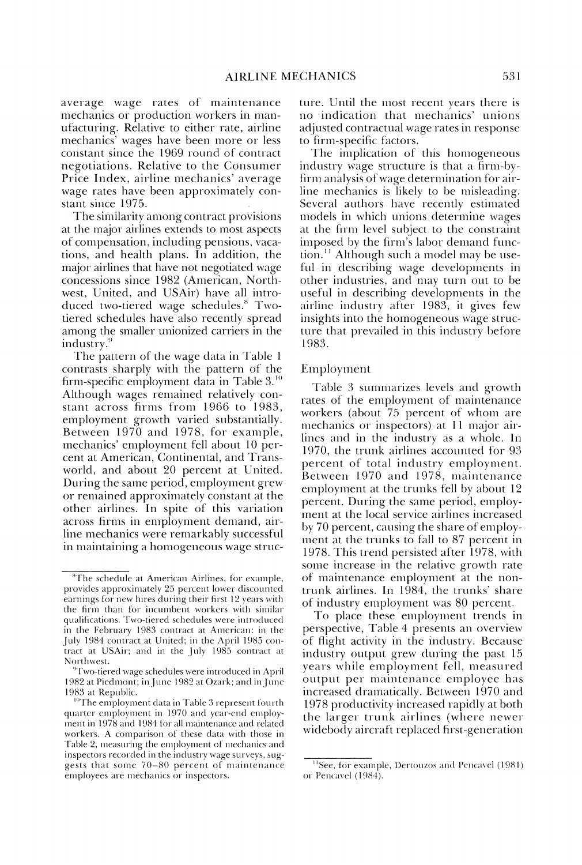average wage rates of maintenance mechanics or production workers in manufacturing. Relative to either rate, airline mechanics' wages have been more or less constant since the 1969 round of contract negotiations. Relative to the Consumer Price Index, airline mechanics' average wage rates have been approximately constant since 1975.

The similarity among contract provisions at the major airlines extends to most aspects of compensation, including pensions, vacations, and health plans. In addition, the major airlines that have not negotiated wage concessions since 1982 (American, Northwest, United, and USAir) have all introduced two-tiered wage schedules.<sup>8</sup> Twotiered schedules have also recently spread among the smaller unionized carriers in the industry.<sup>9</sup>

The pattern of the wage data in Table 1 contrasts sharply with the pattern of the firm-specific employment data in Table 3.<sup>10</sup> Although wages remained relatively constant across firms from 1966 to 1983, employment growth varied substantially. Between 1970 and 1978, for example, mechanics' employment fell about 10 percent at American, Continental, and Transworld, and about 20 percent at United. During the same period, employment grew or remained approximately constant at the other airlines. In spite of this variation across firms in employment demand, airline mechanics were remarkably successful in maintaining a homogeneous wage structure. Until the most recent years there is no indication that mechanics' unions adjusted contractual wage rates in response to firm-specific factors.

The implication of this homogeneous industry wage structure is that a firm-byfirm analysis of wage determination for airline mechanics is likely to be misleading. Several authors have recently estimated models in which unions determine wages at the firm level subject to the constraint imposed by the firm's labor demand function.<sup>11</sup> Although such a model may be useful in describing wage developments in other industries, and may turn out to be useful in describing developments in the airline industry after 1983, it gives few insights into the homogeneous wage structure that prevailed in this industry before 1983.

#### Employment

Table 3 summarizes levels and growth rates of the employment of maintenance workers (about 75 percent of whom are mechanics or inspectors) at 11 major airlines and in the industry as a whole. In 1970, the trunk airlines accounted for 93 percent of total industry employment. Between 1970 and 1978, maintenance employment at the trunks fell by about 12 percent. During the same period, employment at the local service airlines increased by 70 percent, causing the share of employment at the trunks to fall to 87 percent in 1978. This trend persisted after 1978, with some increase in the relative growth rate of maintenance employment at the nontrunk airlines. In 1984, the trunks' share of industry employment was 80 percent.

To place these employment trends in perspective, Table 4 presents an overview of flight activity in the industry. Because industry output grew during the past 15 years while employment fell, measured output per maintenance employee has increased dramatically. Between 1970 and 1978 productivity increased rapidly at both the larger trunk airlines (where newer widebody aircraft replaced first-generation

<sup>&</sup>lt;sup>8</sup>The schedule at American Airlines, for example, provides approximately 25 percent lower discounted earnings for new hires during their first 12 years with the firm than for incumbent workers with similar qualifications. Two-tiered schedules were introduced in the February 1983 contract at American: in the July 1984 contract at United; in the April 1985 contract at USAir; and in the July 1985 contract at Northwest.

<sup>&</sup>lt;sup>9</sup>Two-tiered wage schedules were introduced in April 1982 at Piedmont; in June 1982 at Ozark; and in June 1983 at Republic.

<sup>&</sup>lt;sup>10</sup>The employment data in Table 3 represent fourth quarter employment in 1970 and year-end employment in 1978 and 1984 for all maintenance and related workers. A comparison of these data with those in Table 2, measuring the employment of mechanics and inspectors recorded in the industry wage surveys, suggests that some 70-80 percent of maintenance employees are mechanics or inspectors.

<sup>&</sup>lt;sup>11</sup>See, for example, Dertouzos and Pencavel (1981) or Pencavel (1984).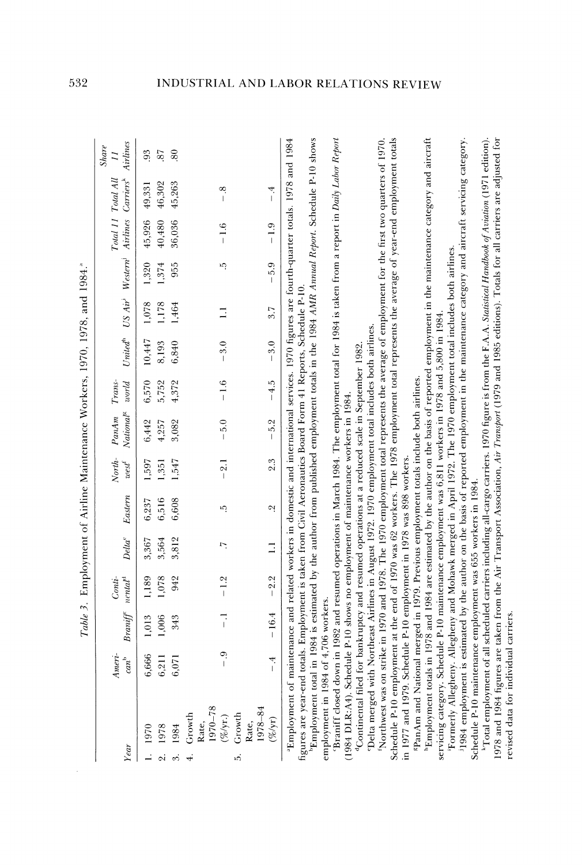| ł<br>י<br>י<br>ı                                                  |
|-------------------------------------------------------------------|
| 5.54<br>م<br>فا                                                   |
| $\tilde{H}$<br>¢                                                  |
| $\frac{1}{2}$<br>$\ddot{\phantom{0}}$<br>$\overline{\phantom{a}}$ |
| l<br>ì<br>-<br>-<br>1                                             |
| Asintansana Worker<br>j                                           |
| ľ                                                                 |
| .<br>.<br>.<br>the same of the same company and<br>í<br>i<br>I    |
|                                                                   |
| -<br>F                                                            |

 $\bar{\beta}$ 

| Year |                                                                                                                                                                                                                                                                                                                                                                                                                                                                                                                                     | $Ameri$ -<br>$can^{\flat}$ | $Branif^{c}$ $nendt$ | Conti  | $Delta^c$                | Eastern | North-<br>$west^!$ | Nationa <sup>r</sup><br>PanAm                                                                                                                                                                                                                                         | Trans-<br>$word$ |               | United <sup>th</sup> US Air <sup>1</sup> | Westrm                                |        | Total 11 Total All<br>Airlines Carriers                                                                                                                                                                                                                                                                                                                                               | Airlines<br><b>Share</b><br>$\overline{z}$ |
|------|-------------------------------------------------------------------------------------------------------------------------------------------------------------------------------------------------------------------------------------------------------------------------------------------------------------------------------------------------------------------------------------------------------------------------------------------------------------------------------------------------------------------------------------|----------------------------|----------------------|--------|--------------------------|---------|--------------------|-----------------------------------------------------------------------------------------------------------------------------------------------------------------------------------------------------------------------------------------------------------------------|------------------|---------------|------------------------------------------|---------------------------------------|--------|---------------------------------------------------------------------------------------------------------------------------------------------------------------------------------------------------------------------------------------------------------------------------------------------------------------------------------------------------------------------------------------|--------------------------------------------|
|      | 1970                                                                                                                                                                                                                                                                                                                                                                                                                                                                                                                                | 6,666                      | 1,013                | 1,189  | 3,367                    | 6,237   | 1,597              | 6,442                                                                                                                                                                                                                                                                 | 6,570            | 10,447        | 1,078                                    | 1,320                                 | 45,926 | 49,331                                                                                                                                                                                                                                                                                                                                                                                | 93                                         |
|      | 1978                                                                                                                                                                                                                                                                                                                                                                                                                                                                                                                                | 6,211                      | 1,006                | 1,078  | 3,564                    | 6,516   | 1,351              | 4,257                                                                                                                                                                                                                                                                 | 5,752            | 8,193         | 1,178                                    | 1,374                                 | 40,480 | 46,302                                                                                                                                                                                                                                                                                                                                                                                | 87                                         |
|      | 1984                                                                                                                                                                                                                                                                                                                                                                                                                                                                                                                                | 6,071                      | 343                  | 942    | 3,812                    | 6,608   | 1,547              | 3,082                                                                                                                                                                                                                                                                 | 4,372            | 6,840         | 1,464                                    | 955                                   | 36,036 | 45,263                                                                                                                                                                                                                                                                                                                                                                                | $\overline{80}$                            |
|      | 1970-78<br>Growth<br>$(\%$ /yr.)<br>Rate,                                                                                                                                                                                                                                                                                                                                                                                                                                                                                           |                            |                      | $-1.2$ | $\overline{\phantom{0}}$ | ηġ      | $-2.1$             | $-5.0$                                                                                                                                                                                                                                                                | $-1.6$           | $\frac{3}{2}$ | $\equiv$                                 | r.                                    | $-1.6$ | œ<br>$\begin{array}{c} \rule{0pt}{2.5ex} \rule{0pt}{2.5ex} \rule{0pt}{2.5ex} \rule{0pt}{2.5ex} \rule{0pt}{2.5ex} \rule{0pt}{2.5ex} \rule{0pt}{2.5ex} \rule{0pt}{2.5ex} \rule{0pt}{2.5ex} \rule{0pt}{2.5ex} \rule{0pt}{2.5ex} \rule{0pt}{2.5ex} \rule{0pt}{2.5ex} \rule{0pt}{2.5ex} \rule{0pt}{2.5ex} \rule{0pt}{2.5ex} \rule{0pt}{2.5ex} \rule{0pt}{2.5ex} \rule{0pt}{2.5ex} \rule{0$ |                                            |
| ນຕ່  | Rate,<br>1978–84<br>Growth<br>$(\%$ /yr)                                                                                                                                                                                                                                                                                                                                                                                                                                                                                            |                            | $-16.4$              | $-2.2$ | $\Xi$                    | Οİ      | 2.3                | $-5.2$                                                                                                                                                                                                                                                                | $-4.5$           | $-3.0$        | 3.7                                      | 5.9<br>$\begin{array}{c} \end{array}$ | $-1.9$ | $\ddot{ }$<br>$\overline{1}$                                                                                                                                                                                                                                                                                                                                                          |                                            |
|      | Employment total in 1984 is estimated by the author from published employment totals in the 1984 AMR Annual Report. Schedule P-10 shows<br><sup>a</sup> Employment of maintenance and related workers in domestic and international services. 1970 figures are fourth-quarter totals. 1978 and 1984<br>'Continental filed for bankruptcy and resumed operations at a reduced scale in September 1982<br>employment in 1984 of 4,706 workers.<br>(1984 DLR:A4). Schedule 1<br>figures are year-end totals.<br>Braniff closed down in |                            |                      |        |                          |         |                    | 1982 and resumed operations in March 1984. The employment total for 1984 is taken from a report in Daily Labor Report<br>Employment is taken from Civil Aeronautics Board Form 41 Reports, Schedule P-10.<br>P-10 shows no employment of maintenance workers in 1984. |                  |               |                                          |                                       |        |                                                                                                                                                                                                                                                                                                                                                                                       |                                            |
|      | Delta merged with Northeast Airlines in August 1972. 1970 employment total includes both airlines.                                                                                                                                                                                                                                                                                                                                                                                                                                  |                            |                      |        |                          |         |                    | in 1970 and 1978. The 1970 employment total represents the average of employment for the first two quarters of 1970.                                                                                                                                                  |                  |               |                                          |                                       |        |                                                                                                                                                                                                                                                                                                                                                                                       |                                            |
|      | Schedule P-10 employment at the end of 1970 was 62 workers. The 1978 employment total represents the average of year-end employment totals<br>in 1977 and 1979. Schedule P-10 employment in 1978 was 898 workers.<br>Northwest was on strike                                                                                                                                                                                                                                                                                        |                            |                      |        |                          |         |                    |                                                                                                                                                                                                                                                                       |                  |               |                                          |                                       |        |                                                                                                                                                                                                                                                                                                                                                                                       |                                            |
|      | <sup>h</sup> Employment totals in 1978 and 1984 are estimated by the author on the basis of reported employment in the maintenance category and aircraft<br>servicing category. Schedule P-10 maintenance employment was 6,811 workers in 1978 and 5,800 in 1984<br>*PanAm and National merged in 1979. Previous employment totals include both airlines.                                                                                                                                                                           |                            |                      |        |                          |         |                    |                                                                                                                                                                                                                                                                       |                  |               |                                          |                                       |        |                                                                                                                                                                                                                                                                                                                                                                                       |                                            |
|      | 1984 employment is estimated by the author on the basis of reported employment in the maintenance category and aircraft servicing category.<br>Formerly Allegheny. All                                                                                                                                                                                                                                                                                                                                                              |                            |                      |        |                          |         |                    | legheny and Mohawk merged in April 1972. The 1970 employment total includes both airlines.                                                                                                                                                                            |                  |               |                                          |                                       |        |                                                                                                                                                                                                                                                                                                                                                                                       |                                            |

<sup>k</sup>Total employment of all scheduled carriers including all-cargo carriers. 1970 figure is from the F.A.A. Statstiad Handbook of Aviation (1971 edition).<br>1978 and 1984 figures are taken from the Air Transport Association, Schedule P-10 maintenance employment was 655 workers in 1984.

532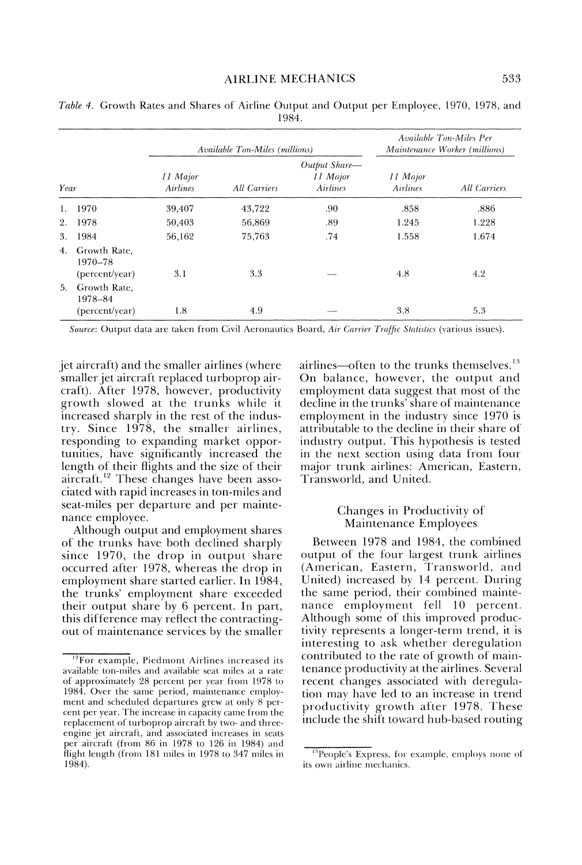|                |                                           |                      | Available Ton-Miles (millions) |                                              |                             | Available Ton-Miles Per<br>Maintenance Worker (millions) |
|----------------|-------------------------------------------|----------------------|--------------------------------|----------------------------------------------|-----------------------------|----------------------------------------------------------|
| Year           |                                           | 11 Major<br>Airlines | All Carriers                   | Output Share-<br>11 Major<br><b>Airlines</b> | 11 Major<br><b>Airlines</b> | <b>All Carriers</b>                                      |
|                | 1970                                      | 39,407               | 43,722                         | .90                                          | .858                        | .886                                                     |
| 2.             | 1978                                      | 50,403               | 56,869                         | .89                                          | 1.245                       | 1.228                                                    |
| 3.             | 1984                                      | 56,162               | 75,763                         | .74                                          | 1.558                       | 1.674                                                    |
| 4.             | Growth Rate.<br>1970-78<br>(percent/year) | 3.1                  | 3.3                            |                                              | 4.8                         | 4.2                                                      |
| 5 <sub>1</sub> | Growth Rate,<br>1978-84<br>(percent/year) | 1.8                  | 4.9                            |                                              | 3.8                         | 5.3                                                      |

Table 4. Growth Rates and Shares of Airline Output and Output per Employee, 1970, 1978, and 1984.

Source: Output data are taken from Civil Aeronautics Board, Air Carrier Traffic Statistics (various issues).

jet aircraft) and the smaller airlines (where smaller jet aircraft replaced turboprop aircraft). After 1978, however, productivity growth slowed at the trunks while it increased sharply in the rest of the industry. Since 1978, the smaller airlines, responding to expanding market opportunities, have significantly increased the length of their flights and the size of their aircraft.<sup>12</sup> These changes have been associated with rapid increases in ton-miles and seat-miles per departure and per maintenance employee.

Although output and employment shares of the trunks have both declined sharply since 1970, the drop in output share occurred after 1978, whereas the drop in employment share started earlier. In 1984, the trunks' employment share exceeded their output share by 6 percent. In part, this difference may reflect the contractingout of maintenance services by the smaller airlines—often to the trunks themselves.<sup>13</sup> On balance, however, the output and employment data suggest that most of the decline in the trunks' share of maintenance employment in the industry since 1970 is attributable to the decline in their share of industry output. This hypothesis is tested in the next section using data from four major trunk airlines: American, Eastern, Transworld, and United.

## Changes in Productivity of Maintenance Employees

Between 1978 and 1984, the combined output of the four largest trunk airlines (American, Eastern, Transworld, and United) increased by 14 percent. During the same period, their combined maintenance employment fell 10 percent. Although some of this improved productivity represents a longer-term trend, it is interesting to ask whether deregulation contributed to the rate of growth of maintenance productivity at the airlines. Several recent changes associated with deregulation may have led to an increase in trend productivity growth after 1978. These include the shift toward hub-based routing

<sup>&</sup>lt;sup>12</sup>For example, Piedmont Airlines increased its available ton-miles and available seat miles at a rate of approximately 28 percent per year from 1978 to 1984. Over the same period, maintenance employment and scheduled departures grew at only 8 percent per year. The increase in capacity came from the replacement of turboprop aircraft by two- and threeengine jet aircraft, and associated increases in seats per aircraft (from 86 in 1978 to 126 in 1984) and flight length (from 181 miles in 1978 to 347 miles in 1984).

<sup>&</sup>lt;sup>13</sup>People's Express, for example, employs none of its own airline mechanics.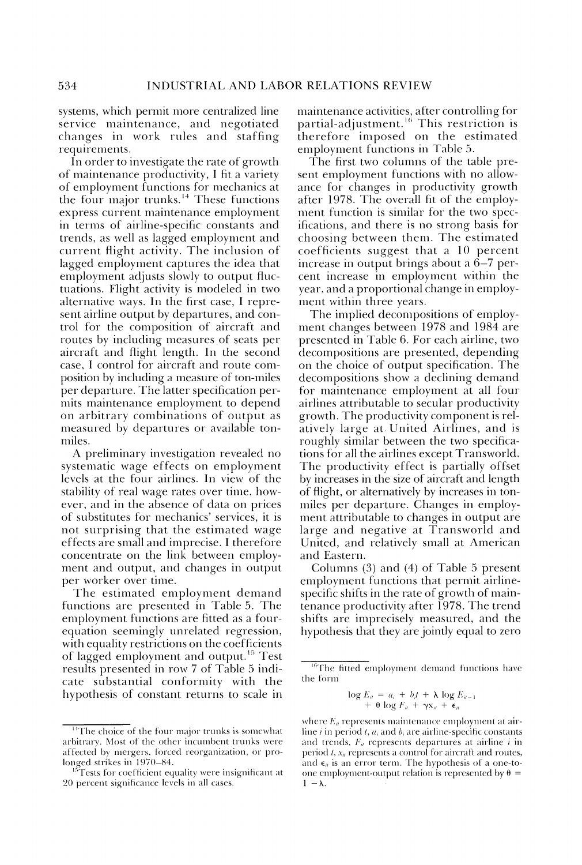systems, which permit more centralized line service maintenance, and negotiated changes in work rules and staffing requirements.

In order to investigate the rate of growth of maintenance productivity, I fit a variety of employment functions for mechanics at the four major trunks.<sup>14</sup> These functions express current maintenance employment in terms of airline-specific constants and trends, as well as lagged employment and current flight activity. The inclusion of lagged employment captures the idea that employment adjusts slowly to output fluctuations. Flight activity is modeled in two alternative ways. In the first case, I represent airline output by departures, and control for the composition of aircraft and routes by including measures of seats per aircraft and flight length. In the second case, I control for aircraft and route composition by including a measure of ton-miles per departure. The latter specification permits maintenance employment to depend on arbitrary combinations of output as measured by departures or available tonmiles.

A preliminary investigation revealed no systematic wage effects on employment levels at the four airlines. In view of the stability of real wage rates over time, however, and in the absence of data on prices of substitutes for mechanics' services, it is not surprising that the estimated wage effects are small and imprecise. I therefore concentrate on the link between employment and output, and changes in output per worker over time.

The estimated employment demand functions are presented in Table 5. The employment functions are fitted as a fourequation seemingly unrelated regression, with equality restrictions on the coefficients of lagged employment and output.<sup>15</sup> Test results presented in row 7 of Table 5 indicate substantial conformity with the hypothesis of constant returns to scale in maintenance activities, after controlling for partial-adjustment.<sup>16</sup> This restriction is therefore imposed on the estimated employment functions in Table 5.

The first two columns of the table present employment functions with no allowance for changes in productivity growth after 1978. The overall fit of the employment function is similar for the two specifications, and there is no strong basis for choosing between them. The estimated coefficients suggest that a 10 percent increase in output brings about a  $6-7$  percent increase in employment within the year, and a proportional change in employment within three years.

The implied decompositions of employment changes between 1978 and 1984 are presented in Table 6. For each airline, two decompositions are presented, depending on the choice of output specification. The decompositions show a declining demand for maintenance employment at all four airlines attributable to secular productivity growth. The productivity component is relatively large at United Airlines, and is roughly similar between the two specifications for all the airlines except Transworld. The productivity effect is partially offset by increases in the size of aircraft and length of flight, or alternatively by increases in tonmiles per departure. Changes in employment attributable to changes in output are large and negative at Transworld and United, and relatively small at American and Eastern.

Columns  $(3)$  and  $(4)$  of Table 5 present employment functions that permit airlinespecific shifts in the rate of growth of maintenance productivity after 1978. The trend shifts are imprecisely measured, and the hypothesis that they are jointly equal to zero

$$
\log E_n = a_i + b_i t + \lambda \log E_{n-1} + \theta \log F_n + \gamma x_n + \epsilon_n
$$

<sup>&</sup>lt;sup>14</sup>The choice of the four major trunks is somewhat arbitrary. Most of the other incumbent trunks were affected by mergers, forced reorganization, or prolonged strikes in 1970-84.

Tests for coefficient equality were insignificant at 20 percent significance levels in all cases.

<sup>&</sup>lt;sup>16</sup>The fitted employment demand functions have the form

where  $E_{ii}$  represents maintenance employment at airline i in period t,  $a_i$  and  $b_i$  are airline-specific constants and trends,  $F_{ii}$  represents departures at airline  $i$  in period  $t$ ,  $x_{it}$  represents a control for aircraft and routes, and  $\epsilon_{ii}$  is an error term. The hypothesis of a one-toone employment-output relation is represented by  $\theta =$  $1 - \lambda$ .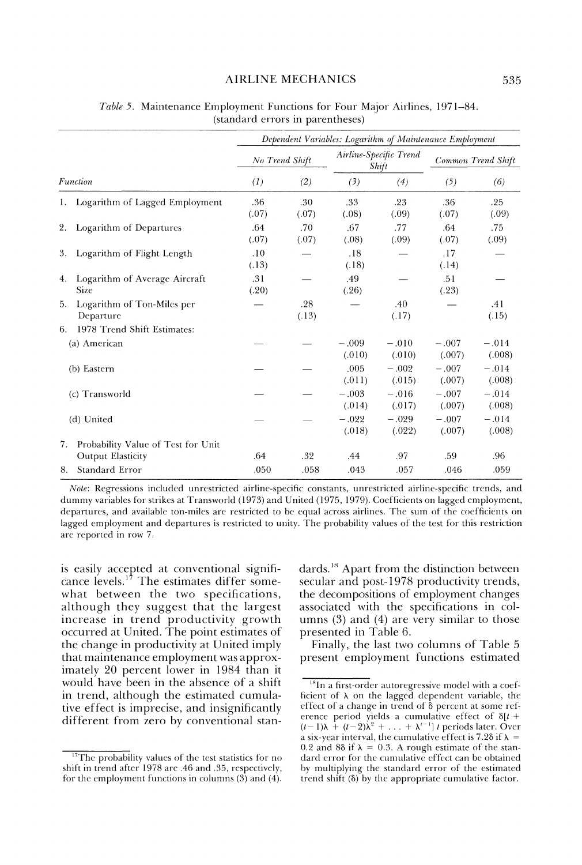## **AIRLINE MECHANICS**

|    |                                                         |                  |              | Dependent Variables: Logarithm of Maintenance Employment |                                 |                   |                    |
|----|---------------------------------------------------------|------------------|--------------|----------------------------------------------------------|---------------------------------|-------------------|--------------------|
|    |                                                         | No Trend Shift   |              |                                                          | Airline-Specific Trend<br>Shift |                   | Common Trend Shift |
|    | Function                                                | $\left(1\right)$ | (2)          | (3)                                                      | (4)                             | (5)               | (6)                |
|    | Logarithm of Lagged Employment                          | .36<br>(.07)     | .30<br>(.07) | .33<br>(.08)                                             | .23<br>(.09)                    | .36<br>(.07)      | .25<br>(.09)       |
| 2. | Logarithm of Departures                                 | .64<br>(.07)     | .70<br>(.07) | .67<br>(.08)                                             | .77<br>(.09)                    | .64<br>(.07)      | .75<br>(.09)       |
| 3. | Logarithm of Flight Length                              | .10<br>(.13)     |              | .18<br>(.18)                                             |                                 | .17<br>(.14)      |                    |
| 4. | Logarithm of Average Aircraft<br><b>Size</b>            | .31<br>(.20)     |              | .49<br>(.26)                                             |                                 | .51<br>(.23)      |                    |
| 5. | Logarithm of Ton-Miles per<br>Departure                 |                  | .28<br>(.13) |                                                          | .40<br>(.17)                    |                   | .41<br>(.15)       |
| 6. | 1978 Trend Shift Estimates:                             |                  |              |                                                          |                                 |                   |                    |
|    | (a) American                                            |                  |              | $-.009$<br>(.010)                                        | $-.010$<br>(.010)               | $-.007$<br>(.007) | $-.014$<br>(.008)  |
|    | (b) Eastern                                             |                  |              | .005<br>(.011)                                           | $-.002$<br>(.015)               | $-.007$<br>(.007) | $-.014$<br>(.008)  |
|    | (c) Transworld                                          |                  |              | $-.003$<br>(.014)                                        | $-.016$<br>(.017)               | $-.007$<br>(.007) | $-.014$<br>(.008)  |
|    | (d) United                                              |                  |              | $-.022$<br>(.018)                                        | $-.029$<br>(.022)               | $-.007$<br>(.007) | $-.014$<br>(.008)  |
| 7. | Probability Value of Test for Unit<br>Output Elasticity | .64              | .32          | .44                                                      | .97                             | .59               | .96                |
| 8. | Standard Error                                          | .050             | .058         | .043                                                     | .057                            | .046              | .059               |

Table 5. Maintenance Employment Functions for Four Major Airlines, 1971–84. (standard errors in parentheses)

Note: Regressions included unrestricted airline-specific constants, unrestricted airline-specific trends, and dummy variables for strikes at Transworld (1973) and United (1975, 1979). Coefficients on lagged employment, departures, and available ton-miles are restricted to be equal across airlines. The sum of the coefficients on lagged employment and departures is restricted to unity. The probability values of the test for this restriction are reported in row 7.

is easily accepted at conventional significance levels.<sup>17</sup> The estimates differ somewhat between the two specifications, although they suggest that the largest increase in trend productivity growth occurred at United. The point estimates of the change in productivity at United imply that maintenance employment was approximately 20 percent lower in 1984 than it would have been in the absence of a shift in trend, although the estimated cumulative effect is imprecise, and insignificantly different from zero by conventional stan-

 $17$ The probability values of the test statistics for no shift in trend after 1978 are .46 and .35, respectively, for the employment functions in columns  $(3)$  and  $(4)$ . dards.<sup>18</sup> Apart from the distinction between secular and post-1978 productivity trends, the decompositions of employment changes associated with the specifications in columns  $(3)$  and  $(4)$  are very similar to those presented in Table 6.

Finally, the last two columns of Table 5 present employment functions estimated

 $18$ In a first-order autoregressive model with a coefficient of  $\lambda$  on the lagged dependent variable, the effect of a change in trend of  $\delta$  percent at some reference period yields a cumulative effect of  $\delta[t + (t-1)\lambda + (t-2)\lambda^2 + ... + \lambda'^{-1}]t$  periods later. Over a six-year interval, the cumulative effect is 7.28 if  $\lambda$  = 0.2 and 88 if  $\lambda = 0.3$ . A rough estimate of the standard error for the cumulative effect can be obtained by multiplying the standard error of the estimated trend shift  $(\delta)$  by the appropriate cumulative factor.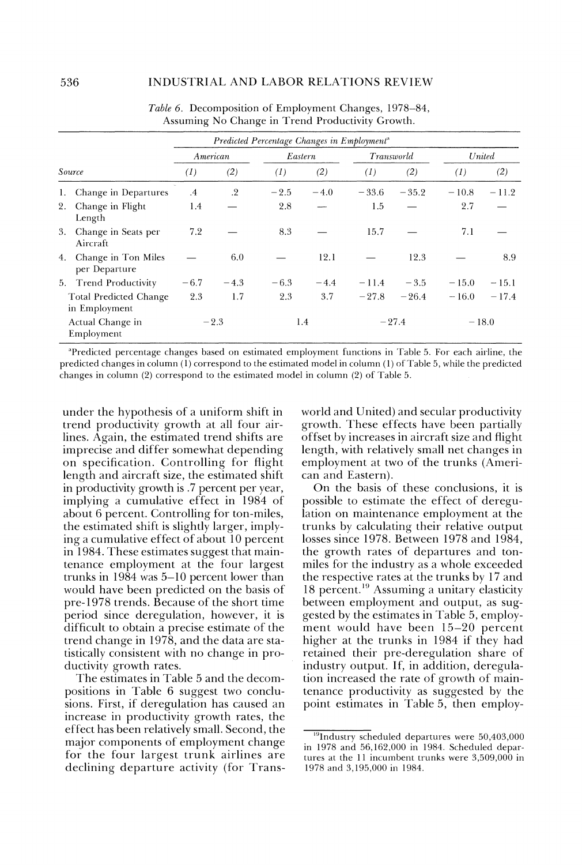|    |                                         |                   |        | Predicted Percentage Changes in Employment <sup>a</sup> |         |            |         |                  |         |
|----|-----------------------------------------|-------------------|--------|---------------------------------------------------------|---------|------------|---------|------------------|---------|
|    |                                         | American          |        |                                                         | Eastern | Transworld |         | United           |         |
|    | Source                                  | $\left( I\right)$ | (2)    | $\left( I\right)$                                       | (2)     | (I)        | (2)     | $\left(1\right)$ | (2)     |
| 1. | Change in Departures                    | $\cdot$ 4         | $.2\,$ | $-2.5$                                                  | $-4.0$  | $-33.6$    | $-35.2$ | $-10.8$          | $-11.2$ |
| 2. | Change in Flight<br>Length              | 1.4               |        | 2.8                                                     |         | 1.5        |         | 2.7              |         |
| 3. | Change in Seats per<br>Aircraft         | 7.2               |        | 8.3                                                     |         | 15.7       |         | 7.1              |         |
| 4. | Change in Ton Miles<br>per Departure    |                   | 6.0    |                                                         | 12.1    |            | 12.3    |                  | 8.9     |
|    | 5. Trend Productivity                   | $-6.7$            | $-4.3$ | $-6.3$                                                  | $-4.4$  | $-11.4$    | $-3.5$  | $-15.0$          | $-15.1$ |
|    | Total Predicted Change<br>in Employment | 2.3               | 1.7    | 2.3                                                     | 3.7     | $-27.8$    | $-26.4$ | $-16.0$          | $-17.4$ |
|    | Actual Change in<br>Employment          |                   | $-2.3$ |                                                         | 1.4     |            | $-27.4$ | $-18.0$          |         |

Table 6. Decomposition of Employment Changes, 1978–84, Assuming No Change in Trend Productivity Growth.

<sup>a</sup>Predicted percentage changes based on estimated employment functions in Table 5. For each airline, the predicted changes in column (1) correspond to the estimated model in column (1) of Table 5, while the predicted changes in column (2) correspond to the estimated model in column (2) of Table 5.

under the hypothesis of a uniform shift in trend productivity growth at all four airlines. Again, the estimated trend shifts are imprecise and differ somewhat depending on specification. Controlling for flight length and aircraft size, the estimated shift in productivity growth is .7 percent per year, implying a cumulative effect in 1984 of about 6 percent. Controlling for ton-miles, the estimated shift is slightly larger, implying a cumulative effect of about 10 percent in 1984. These estimates suggest that maintenance employment at the four largest trunks in  $1984$  was  $5-10$  percent lower than would have been predicted on the basis of pre-1978 trends. Because of the short time period since deregulation, however, it is difficult to obtain a precise estimate of the trend change in 1978, and the data are statistically consistent with no change in productivity growth rates.

The estimates in Table 5 and the decompositions in Table 6 suggest two conclusions. First, if deregulation has caused an increase in productivity growth rates, the effect has been relatively small. Second, the major components of employment change for the four largest trunk airlines are declining departure activity (for Transworld and United) and secular productivity growth. These effects have been partially offset by increases in aircraft size and flight length, with relatively small net changes in employment at two of the trunks (American and Eastern).

On the basis of these conclusions, it is possible to estimate the effect of deregulation on maintenance employment at the trunks by calculating their relative output losses since 1978. Between 1978 and 1984, the growth rates of departures and tonmiles for the industry as a whole exceeded the respective rates at the trunks by 17 and 18 percent.<sup>19</sup> Assuming a unitary elasticity between employment and output, as suggested by the estimates in Table 5, employment would have been 15-20 percent higher at the trunks in 1984 if they had retained their pre-deregulation share of industry output. If, in addition, deregulation increased the rate of growth of maintenance productivity as suggested by the point estimates in Table 5, then employ-

<sup>&</sup>lt;sup>19</sup>Industry scheduled departures were 50,403,000 in 1978 and 56,162,000 in 1984. Scheduled departures at the 11 incumbent trunks were 3,509,000 in 1978 and 3,195,000 in 1984.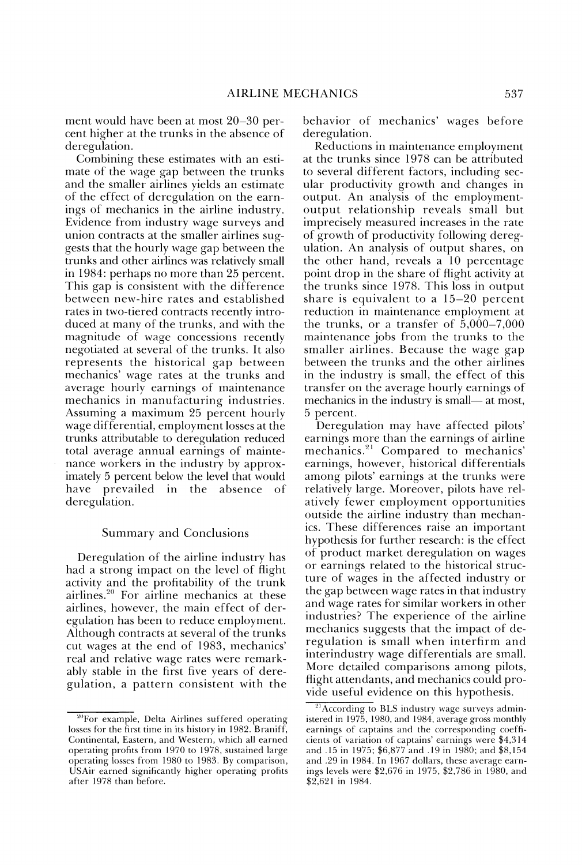ment would have been at most  $20-30$  percent higher at the trunks in the absence of deregulation.

Combining these estimates with an estimate of the wage gap between the trunks and the smaller airlines yields an estimate of the effect of deregulation on the earnings of mechanics in the airline industry. Evidence from industry wage surveys and union contracts at the smaller airlines suggests that the hourly wage gap between the trunks and other airlines was relatively small in 1984: perhaps no more than 25 percent. This gap is consistent with the difference between new-hire rates and established rates in two-tiered contracts recently introduced at many of the trunks, and with the magnitude of wage concessions recently negotiated at several of the trunks. It also represents the historical gap between mechanics' wage rates at the trunks and average hourly earnings of maintenance mechanics in manufacturing industries. Assuming a maximum 25 percent hourly wage differential, employment losses at the trunks attributable to deregulation reduced total average annual earnings of maintenance workers in the industry by approximately 5 percent below the level that would have prevailed in the absence of deregulation.

#### Summary and Conclusions

Deregulation of the airline industry has had a strong impact on the level of flight activity and the profitability of the trunk airlines.<sup>20</sup> For airline mechanics at these airlines, however, the main effect of deregulation has been to reduce employment. Although contracts at several of the trunks cut wages at the end of 1983, mechanics' real and relative wage rates were remarkably stable in the first five years of deregulation, a pattern consistent with the behavior of mechanics' wages before deregulation.

Reductions in maintenance employment at the trunks since 1978 can be attributed to several different factors, including secular productivity growth and changes in output. An analysis of the employmentoutput relationship reveals small but imprecisely measured increases in the rate of growth of productivity following deregulation. An analysis of output shares, on the other hand, reveals a 10 percentage point drop in the share of flight activity at the trunks since 1978. This loss in output share is equivalent to a 15-20 percent reduction in maintenance employment at the trunks, or a transfer of  $\dot{5},000-7,000$ maintenance jobs from the trunks to the smaller airlines. Because the wage gap between the trunks and the other airlines in the industry is small, the effect of this transfer on the average hourly earnings of mechanics in the industry is small— at most, *5* Dercent.

Deregulation may have affected pilots' earnings more than the earnings of airline mechanics.<sup>21</sup> Compared to mechanics' earnings, however, historical differentials among pilots' earnings at the trunks were relatively large. Moreover, pilots have relatively fewer employment opportunities outside the airline industrv than mechanics. These differences raise an important hypothesis for further research: is the effect of product market deregulation on wages or earnings related to the historical structure of wages in the affected industry or the gap between wage rates in that industry and wage rates for similar workers in other industries? The experience of the airline mechanics suggests that the impact of deregulation is small when interfirm and interindustry wage differentials are small. More detailed comparisons among pilots, flight attendants, and mechanics could provide useful evidence on this hypothesis.

<sup>&</sup>lt;sup>20</sup>For example, Delta Airlines suffered operating losses for the first time in its history in 1982. Braniff, Continental, Eastern, and Western, which all earned operating profits from 1970 to 1978, sustained large operating losses from 1980 to 1983. By comparison, USAir earned significantly higher operating profits after 1978 than before.

<sup>&</sup>lt;sup>21</sup> According to BLS industry wage surveys administered in 1975, 1980, and 1984, average gross monthly earnings of captains and the corresponding coefficients of variation of captains' earnings were  $$4,314$ and .15 in 1975; \$6,877 and .19 in 1980; and \$8,154 and .29 in 1984. In 1967 dollars, these average earnings levels were  $$2,676$  in 1975,  $$2,786$  in 1980, and  $$2,621$  in 1984.